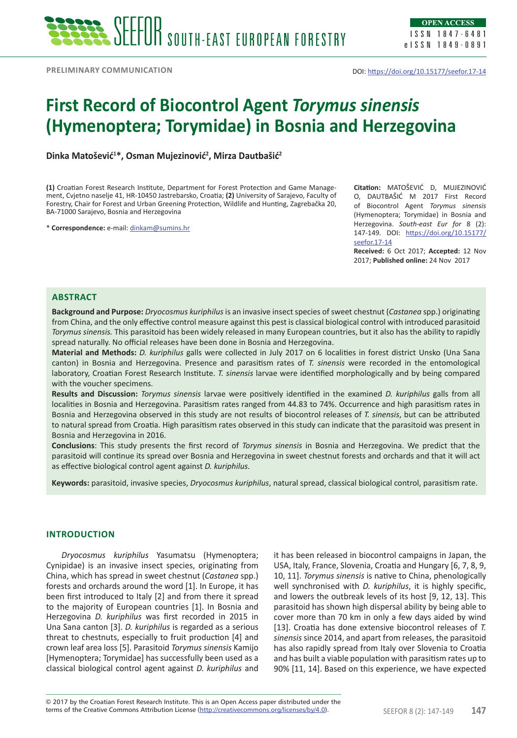# **First Record of Biocontrol Agent** *Torymus sinensis* **(Hymenoptera; Torymidae) in Bosnia and Herzegovina**

**Dinka Matošević<sup>1</sup> \*, Osman Mujezinović<sup>2</sup> , Mirza Dautbašić<sup>2</sup>**

**(1)** Croatian Forest Research Institute, Department for Forest Protection and Game Management, Cvjetno naselje 41, HR-10450 Jastrebarsko, Croatia; **(2)** University of Sarajevo, Faculty of Forestry, Chair for Forest and Urban Greening Protection, Wildlife and Hunting, Zagrebačka 20, BA-71000 Sarajevo, Bosnia and Herzegovina

\* **Correspondence:** e-mail: [dinkam@sumins.hr](mailto:dinkam@sumins.hr)

**Citation:** MATOŠEVIĆ D, MUJEZINOVIĆ O, DAUTBAŠIĆ M 2017 First Record of Biocontrol Agent *Torymus sinensis* (Hymenoptera; Torymidae) in Bosnia and Herzegovina. *South-east Eur for* 8 (2): 147-149. DOI: [https://doi.org/10.15177/](https://doi.org/10.15177/seefor.17-14) [seefor.17-14](https://doi.org/10.15177/seefor.17-14)

**Received:** 6 Oct 2017; **Accepted:** 12 Nov 2017; **Published online:** 24 Nov 2017

### **Abstract**

**Background and Purpose:** *Dryocosmus kuriphilus* is an invasive insect species of sweet chestnut (*Castanea* spp.) originating from China, and the only effective control measure against this pest is classical biological control with introduced parasitoid *Torymus sinensis.* This parasitoid has been widely released in many European countries, but it also has the ability to rapidly spread naturally. No official releases have been done in Bosnia and Herzegovina.

**Material and Methods:** *D. kuriphilus* galls were collected in July 2017 on 6 localities in forest district Unsko (Una Sana canton) in Bosnia and Herzegovina. Presence and parasitism rates of *T. sinensis* were recorded in the entomological laboratory, Croatian Forest Research Institute. *T. sinensis* larvae were identified morphologically and by being compared with the voucher specimens.

**Results and Discussion:** *Torymus sinensis* larvae were positively identified in the examined *D. kuriphilus* galls from all localities in Bosnia and Herzegovina. Parasitism rates ranged from 44.83 to 74%. Occurrence and high parasitism rates in Bosnia and Herzegovina observed in this study are not results of biocontrol releases of *T. sinensis*, but can be attributed to natural spread from Croatia. High parasitism rates observed in this study can indicate that the parasitoid was present in Bosnia and Herzegovina in 2016.

**Conclusions**: This study presents the first record of *Torymus sinensis* in Bosnia and Herzegovina. We predict that the parasitoid will continue its spread over Bosnia and Herzegovina in sweet chestnut forests and orchards and that it will act as effective biological control agent against *D. kuriphilus.*

**Keywords:** parasitoid, invasive species, *Dryocosmus kuriphilus*, natural spread, classical biological control, parasitism rate.

# **INTRODUCTION**

*Dryocosmus kuriphilus* Yasumatsu (Hymenoptera; Cynipidae) is an invasive insect species, originating from China, which has spread in sweet chestnut (*Castanea* spp.) forests and orchards around the word [1]. In Europe, it has been first introduced to Italy [2] and from there it spread to the majority of European countries [1]. In Bosnia and Herzegovina *D. kuriphilus* was first recorded in 2015 in Una Sana canton [3]. *D. kuriphilus* is regarded as a serious threat to chestnuts, especially to fruit production [4] and crown leaf area loss [5]. Parasitoid *Torymus sinensis* Kamijo [Hymenoptera; Torymidae] has successfully been used as a classical biological control agent against *D. kuriphilus* and

it has been released in biocontrol campaigns in Japan, the USA, Italy, France, Slovenia, Croatia and Hungary [6, 7, 8, 9, 10, 11]. *Torymus sinensis* is native to China, phenologically well synchronised with *D. kuriphilus*, it is highly specific, and lowers the outbreak levels of its host [9, 12, 13]. This parasitoid has shown high dispersal ability by being able to cover more than 70 km in only a few days aided by wind [13]. Croatia has done extensive biocontrol releases of *T. sinensis* since 2014, and apart from releases, the parasitoid has also rapidly spread from Italy over Slovenia to Croatia and has built a viable population with parasitism rates up to 90% [11, 14]. Based on this experience, we have expected

terms of the Creative Commons Attribution License (<u>http://creativecommons.org/licenses/by/4.0</u>). SEEFOR 8 (2): 147-149 **147** © 2017 by the Croatian Forest Research Institute. This is an Open Access paper distributed under the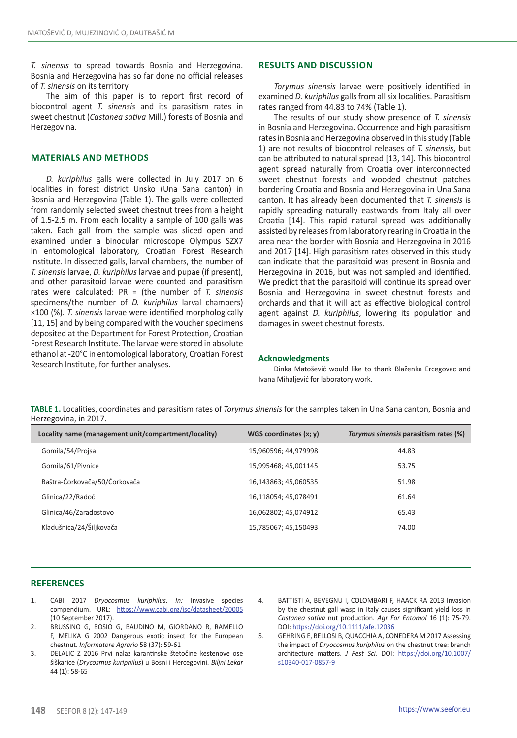*T. sinensis* to spread towards Bosnia and Herzegovina. Bosnia and Herzegovina has so far done no official releases of *T. sinensis* on its territory.

The aim of this paper is to report first record of biocontrol agent *T. sinensis* and its parasitism rates in sweet chestnut (*Castanea sativa* Mill.) forests of Bosnia and Herzegovina.

## **MATERIALS AND METHODS**

*D. kuriphilus* galls were collected in July 2017 on 6 localities in forest district Unsko (Una Sana canton) in Bosnia and Herzegovina (Table 1). The galls were collected from randomly selected sweet chestnut trees from a height of 1.5-2.5 m. From each locality a sample of 100 galls was taken. Each gall from the sample was sliced open and examined under a binocular microscope Olympus SZX7 in entomological laboratory, Croatian Forest Research Institute. In dissected galls, larval chambers, the number of *T. sinensis* larvae, *D. kuriphilus* larvae and pupae (if present), and other parasitoid larvae were counted and parasitism rates were calculated: PR = (the number of *T. sinensis* specimens/the number of *D. kuriphilus* larval chambers) ×100 (%). *T. sinensis* larvae were identified morphologically [11, 15] and by being compared with the voucher specimens deposited at the Department for Forest Protection, Croatian Forest Research Institute. The larvae were stored in absolute ethanol at -20°C in entomological laboratory, Croatian Forest Research Institute, for further analyses.

#### **RESULTS AND DISCUSSION**

*Torymus sinensis* larvae were positively identified in examined *D. kuriphilus* galls from all six localities. Parasitism rates ranged from 44.83 to 74% (Table 1).

The results of our study show presence of *T. sinensis* in Bosnia and Herzegovina. Occurrence and high parasitism rates in Bosnia and Herzegovina observed in this study (Table 1) are not results of biocontrol releases of *T. sinensis*, but can be attributed to natural spread [13, 14]. This biocontrol agent spread naturally from Croatia over interconnected sweet chestnut forests and wooded chestnut patches bordering Croatia and Bosnia and Herzegovina in Una Sana canton. It has already been documented that *T. sinensis* is rapidly spreading naturally eastwards from Italy all over Croatia [14]. This rapid natural spread was additionally assisted by releases from laboratory rearing in Croatia in the area near the border with Bosnia and Herzegovina in 2016 and 2017 [14]. High parasitism rates observed in this study can indicate that the parasitoid was present in Bosnia and Herzegovina in 2016, but was not sampled and identified. We predict that the parasitoid will continue its spread over Bosnia and Herzegovina in sweet chestnut forests and orchards and that it will act as effective biological control agent against *D. kuriphilus*, lowering its population and damages in sweet chestnut forests.

#### **Acknowledgments**

Dinka Matošević would like to thank Blaženka Ercegovac and Ivana Mihaljević for laboratory work.

**TABLE 1.** Localities, coordinates and parasitism rates of *Torymus sinensis* for the samples taken in Una Sana canton, Bosnia and Herzegovina, in 2017.

| Locality name (management unit/compartment/locality) | WGS coordinates $(x; y)$ | Torymus sinensis parasitism rates (%) |
|------------------------------------------------------|--------------------------|---------------------------------------|
| Gomila/54/Projsa                                     | 15,960596; 44,979998     | 44.83                                 |
| Gomila/61/Pivnice                                    | 15,995468; 45,001145     | 53.75                                 |
| Baštra-Ćorkovača/50/Ćorkovača                        | 16,143863; 45,060535     | 51.98                                 |
| Glinica/22/Radoč                                     | 16,118054; 45,078491     | 61.64                                 |
| Glinica/46/Zaradostovo                               | 16,062802; 45,074912     | 65.43                                 |
| Kladušnica/24/Šiljkovača                             | 15,785067; 45,150493     | 74.00                                 |

## **REFERENCES**

- 1. CABI 2017 *Dryocosmus kuriphilus*. *In:* Invasive species compendium. URL: <https://www.cabi.org/isc/datasheet/20005> (10 September 2017).
- 2. BRUSSINO G, BOSIO G, BAUDINO M, GIORDANO R, RAMELLO F, MELIKA G 2002 Dangerous exotic insect for the European chestnut. *Informatore Agrario* 58 (37): 59-61
- 3. DELALIC Z 2016 Prvi nalaz karantinske štetočine kestenove ose šiškarice (*Drycosmus kuriphilus*) u Bosni i Hercegovini. *Biljni Lekar*  44 (1): 58-65
- 4. BATTISTI A, BEVEGNU I, COLOMBARI F, HAACK RA 2013 Invasion by the chestnut gall wasp in Italy causes significant yield loss in *Castanea sativa* nut production. *Agr For Entomol* 16 (1): 75-79. DOI: <https://doi.org/10.1111/afe.12036>

5. GEHRING E, BELLOSI B, QUACCHIA A, CONEDERA M 2017 Assessing the impact of *Dryocosmus kuriphilus* on the chestnut tree: branch architecture matters. *J Pest Sci.* DOI: [https://doi.org/10.1007/](https://doi.org/10.1007/s10340-017-0857-9) [s10340-017-0857-9](https://doi.org/10.1007/s10340-017-0857-9)